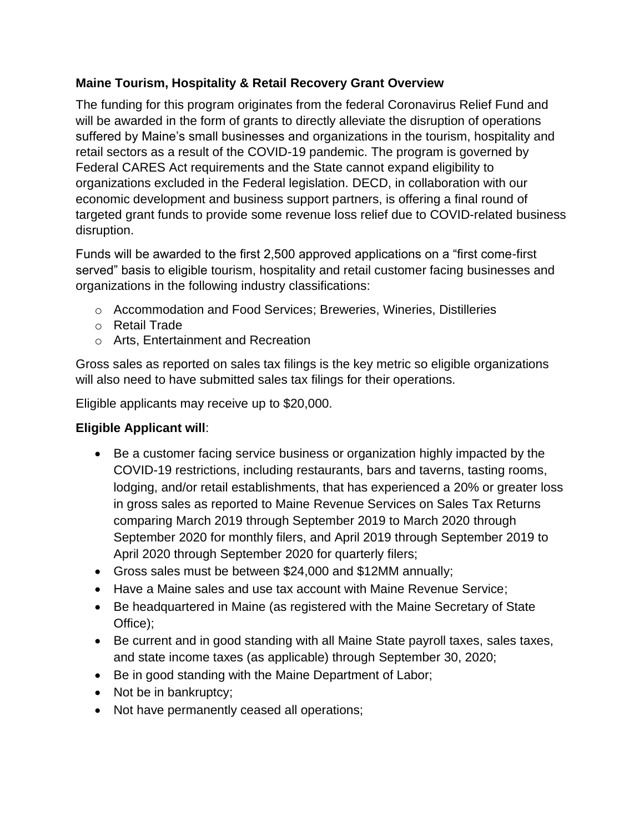## **Maine Tourism, Hospitality & Retail Recovery Grant Overview**

The funding for this program originates from the federal Coronavirus Relief Fund and will be awarded in the form of grants to directly alleviate the disruption of operations suffered by Maine's small businesses and organizations in the tourism, hospitality and retail sectors as a result of the COVID-19 pandemic. The program is governed by Federal CARES Act requirements and the State cannot expand eligibility to organizations excluded in the Federal legislation. DECD, in collaboration with our economic development and business support partners, is offering a final round of targeted grant funds to provide some revenue loss relief due to COVID-related business disruption.

Funds will be awarded to the first 2,500 approved applications on a "first come-first served" basis to eligible tourism, hospitality and retail customer facing businesses and organizations in the following industry classifications:

- o Accommodation and Food Services; Breweries, Wineries, Distilleries
- o Retail Trade
- o Arts, Entertainment and Recreation

Gross sales as reported on sales tax filings is the key metric so eligible organizations will also need to have submitted sales tax filings for their operations.

Eligible applicants may receive up to \$20,000.

### **Eligible Applicant will**:

- Be a customer facing service business or organization highly impacted by the COVID-19 restrictions, including restaurants, bars and taverns, tasting rooms, lodging, and/or retail establishments, that has experienced a 20% or greater loss in gross sales as reported to Maine Revenue Services on Sales Tax Returns comparing March 2019 through September 2019 to March 2020 through September 2020 for monthly filers, and April 2019 through September 2019 to April 2020 through September 2020 for quarterly filers;
- Gross sales must be between \$24,000 and \$12MM annually;
- Have a Maine sales and use tax account with Maine Revenue Service;
- Be headquartered in Maine (as registered with the Maine Secretary of State Office);
- Be current and in good standing with all Maine State payroll taxes, sales taxes, and state income taxes (as applicable) through September 30, 2020;
- Be in good standing with the Maine Department of Labor;
- Not be in bankruptcy;
- Not have permanently ceased all operations;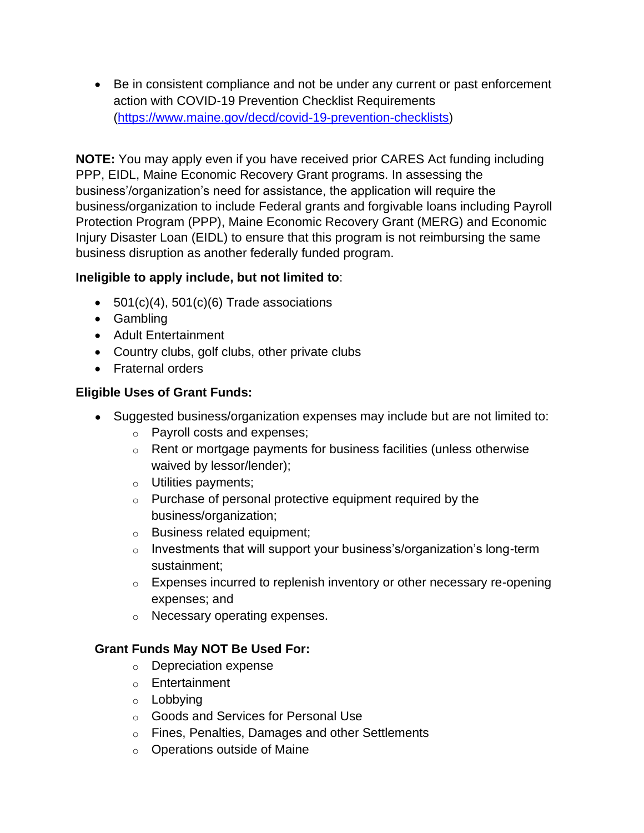• Be in consistent compliance and not be under any current or past enforcement action with COVID-19 Prevention Checklist Requirements [\(https://www.maine.gov/decd/covid-19-prevention-checklists\)](https://www.maine.gov/decd/covid-19-prevention-checklists)

**NOTE:** You may apply even if you have received prior CARES Act funding including PPP, EIDL, Maine Economic Recovery Grant programs. In assessing the business'/organization's need for assistance, the application will require the business/organization to include Federal grants and forgivable loans including Payroll Protection Program (PPP), Maine Economic Recovery Grant (MERG) and Economic Injury Disaster Loan (EIDL) to ensure that this program is not reimbursing the same business disruption as another federally funded program.

# **Ineligible to apply include, but not limited to**:

- $\bullet$  501(c)(4), 501(c)(6) Trade associations
- Gambling
- Adult Entertainment
- Country clubs, golf clubs, other private clubs
- Fraternal orders

### **Eligible Uses of Grant Funds:**

- Suggested business/organization expenses may include but are not limited to:
	- o Payroll costs and expenses;
	- o Rent or mortgage payments for business facilities (unless otherwise waived by lessor/lender);
	- o Utilities payments;
	- $\circ$  Purchase of personal protective equipment required by the business/organization;
	- o Business related equipment;
	- $\circ$  Investments that will support your business's/organization's long-term sustainment;
	- $\circ$  Expenses incurred to replenish inventory or other necessary re-opening expenses; and
	- o Necessary operating expenses.

### **Grant Funds May NOT Be Used For:**

- o Depreciation expense
- o Entertainment
- o Lobbying
- o Goods and Services for Personal Use
- o Fines, Penalties, Damages and other Settlements
- o Operations outside of Maine